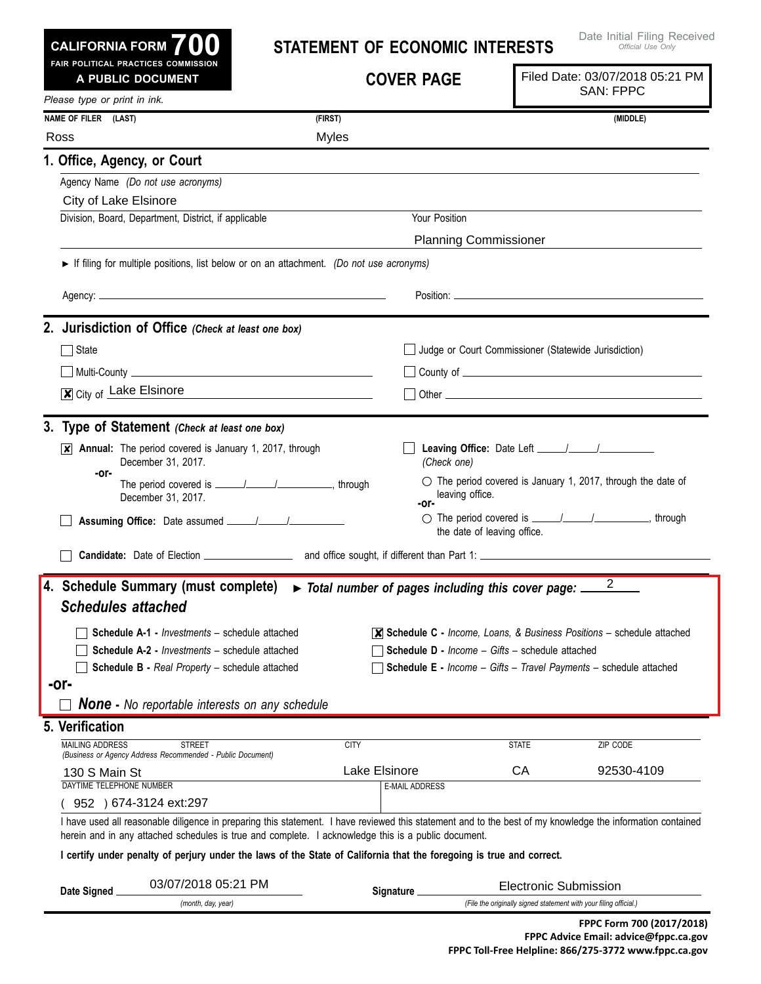|  | CALIFORNIA FORM $\bf{700}$          |  |  |
|--|-------------------------------------|--|--|
|  | FAIR POLITICAL PRACTICES COMMISSION |  |  |

## **Statement of Economic Interests**

| A PUBLIC DOCUMENT                                                           |                                                                                                                      | <b>COVER PAGE</b>                                   |                                                        | Filed Date: 03/07/2018 05:21 PM<br><b>SAN: FPPC</b>                                                                                                        |
|-----------------------------------------------------------------------------|----------------------------------------------------------------------------------------------------------------------|-----------------------------------------------------|--------------------------------------------------------|------------------------------------------------------------------------------------------------------------------------------------------------------------|
| Please type or print in ink.                                                |                                                                                                                      |                                                     |                                                        |                                                                                                                                                            |
| NAME OF FILER (LAST)                                                        | (FIRST)                                                                                                              |                                                     |                                                        | (MIDDLE)                                                                                                                                                   |
| Ross                                                                        |                                                                                                                      | <b>Myles</b>                                        |                                                        |                                                                                                                                                            |
| 1. Office, Agency, or Court                                                 |                                                                                                                      |                                                     |                                                        |                                                                                                                                                            |
| Agency Name (Do not use acronyms)                                           |                                                                                                                      |                                                     |                                                        |                                                                                                                                                            |
| City of Lake Elsinore                                                       |                                                                                                                      |                                                     |                                                        |                                                                                                                                                            |
| Division, Board, Department, District, if applicable                        |                                                                                                                      |                                                     | Your Position                                          |                                                                                                                                                            |
|                                                                             |                                                                                                                      |                                                     | <b>Planning Commissioner</b>                           |                                                                                                                                                            |
|                                                                             | If filing for multiple positions, list below or on an attachment. (Do not use acronyms)                              |                                                     |                                                        |                                                                                                                                                            |
|                                                                             |                                                                                                                      |                                                     |                                                        |                                                                                                                                                            |
| 2. Jurisdiction of Office (Check at least one box)                          |                                                                                                                      |                                                     |                                                        |                                                                                                                                                            |
| $\Box$ State                                                                |                                                                                                                      |                                                     |                                                        | Judge or Court Commissioner (Statewide Jurisdiction)                                                                                                       |
|                                                                             |                                                                                                                      |                                                     |                                                        |                                                                                                                                                            |
| X City of Lake Elsinore                                                     | <u> 1980 - Johann Stein, fransk politik (d. 1980)</u>                                                                |                                                     |                                                        |                                                                                                                                                            |
| 3. Type of Statement (Check at least one box)                               |                                                                                                                      |                                                     |                                                        |                                                                                                                                                            |
| December 31, 2017.                                                          | $\overline{\mathsf{x}}$ Annual: The period covered is January 1, 2017, through                                       |                                                     | (Check one)                                            |                                                                                                                                                            |
| -or-<br>December 31, 2017.                                                  |                                                                                                                      | -or-                                                | leaving office.                                        | $\circ$ The period covered is January 1, 2017, through the date of                                                                                         |
|                                                                             |                                                                                                                      |                                                     | the date of leaving office.                            |                                                                                                                                                            |
|                                                                             |                                                                                                                      |                                                     |                                                        |                                                                                                                                                            |
| 4. Schedule Summary (must complete)<br><b>Schedules attached</b>            |                                                                                                                      | Total number of pages including this cover page: __ |                                                        | $\overline{2}$                                                                                                                                             |
|                                                                             |                                                                                                                      |                                                     |                                                        |                                                                                                                                                            |
|                                                                             | <b>Schedule A-1 - Investments - schedule attached</b>                                                                |                                                     |                                                        | $\overline{\mathsf{x}}$ Schedule C - Income, Loans, & Business Positions – schedule attached                                                               |
|                                                                             | <b>Schedule A-2 - Investments - schedule attached</b><br><b>Schedule B - Real Property - schedule attached</b>       |                                                     | <b>Schedule D - Income - Gifts - schedule attached</b> | Schedule E - Income - Gifts - Travel Payments - schedule attached                                                                                          |
| -or-                                                                        |                                                                                                                      |                                                     |                                                        |                                                                                                                                                            |
|                                                                             | <b>None</b> - No reportable interests on any schedule                                                                |                                                     |                                                        |                                                                                                                                                            |
| 5. Verification                                                             |                                                                                                                      |                                                     |                                                        |                                                                                                                                                            |
| <b>MAILING ADDRESS</b>                                                      | <b>STREET</b>                                                                                                        | <b>CITY</b>                                         | <b>STATE</b>                                           | ZIP CODE                                                                                                                                                   |
| (Business or Agency Address Recommended - Public Document)<br>130 S Main St |                                                                                                                      | Lake Elsinore                                       | CA                                                     | 92530-4109                                                                                                                                                 |
| DAYTIME TELEPHONE NUMBER                                                    |                                                                                                                      | <b>E-MAIL ADDRESS</b>                               |                                                        |                                                                                                                                                            |
| 952 ) 674-3124 ext:297                                                      |                                                                                                                      |                                                     |                                                        |                                                                                                                                                            |
|                                                                             | herein and in any attached schedules is true and complete. I acknowledge this is a public document.                  |                                                     |                                                        | I have used all reasonable diligence in preparing this statement. I have reviewed this statement and to the best of my knowledge the information contained |
|                                                                             | I certify under penalty of perjury under the laws of the State of California that the foregoing is true and correct. |                                                     |                                                        |                                                                                                                                                            |
|                                                                             | 03/07/2018 05:21 PM                                                                                                  |                                                     |                                                        | <b>Electronic Submission</b>                                                                                                                               |
| Date Signed                                                                 | (month, day, year)                                                                                                   | <b>Signature</b>                                    |                                                        | (File the originally signed statement with your filing official.)                                                                                          |
|                                                                             |                                                                                                                      |                                                     |                                                        | FPPC Form 700 (2017/2018)                                                                                                                                  |